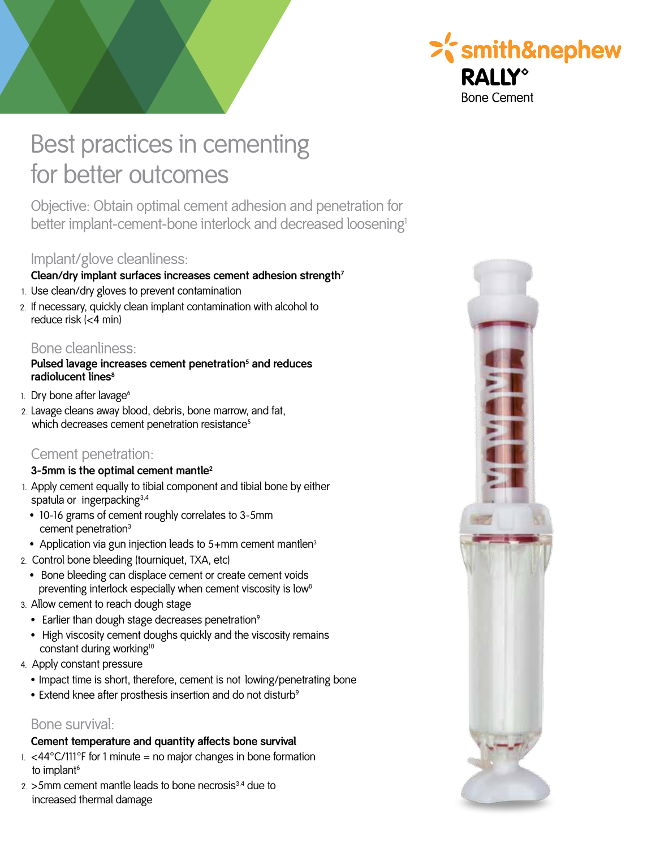

# Best practices in cementing for better outcomes

Objective: Obtain optimal cement adhesion and penetration for better implant-cement-bone interlock and decreased loosening<sup>1</sup>

# Implant/glove cleanliness:

#### **Clean/dry implant surfaces increases cement adhesion strength<sup>7</sup>**

- 1. Use clean/dry gloves to prevent contamination
- 2. If necessary, quickly clean implant contamination with alcohol to reduce risk (<4 min)

## Bone cleanliness:

#### **Pulsed lavage increases cement penetration<sup>5</sup> and reduces radiolucent lines<sup>8</sup>**

- 1. Dry bone after lavage<sup>6</sup>
- 2. Lavage cleans away blood, debris, bone marrow, and fat, which decreases cement penetration resistance<sup>5</sup>

# Cement penetration:

#### **3-5mm is the optimal cement mantle2**

- 1. Apply cement equally to tibial component and tibial bone by either spatula or ingerpacking<sup>3,4</sup>
- 10-16 grams of cement roughly correlates to 3-5mm cement penetration<sup>3</sup>
- Application via gun injection leads to 5+mm cement mantlen<sup>3</sup>
- 2. Control bone bleeding (tourniquet, TXA, etc)
	- Bone bleeding can displace cement or create cement voids preventing interlock especially when cement viscosity is low<sup>8</sup>
- 3. Allow cement to reach dough stage
	- Earlier than dough stage decreases penetration $9$
	- High viscosity cement doughs quickly and the viscosity remains constant during working<sup>10</sup>
- 4. Apply constant pressure
	- Impact time is short, therefore, cement is not lowing/penetrating bone
	- Extend knee after prosthesis insertion and do not disturb<sup>9</sup>

## Bone survival:

#### **Cement temperature and quantity affects bone survival**

- 1.  $<$  44 $^{\circ}$ C/111 $^{\circ}$ F for 1 minute = no major changes in bone formation to implant<sup>6</sup>
- $2.$  >5mm cement mantle leads to bone necrosis $3,4$  due to increased thermal damage